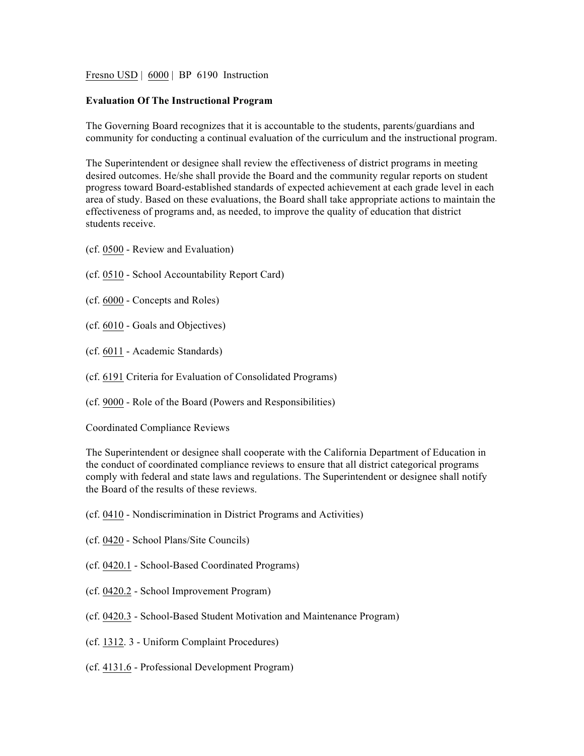Fresno USD | 6000 | BP 6190 Instruction

## **Evaluation Of The Instructional Program**

The Governing Board recognizes that it is accountable to the students, parents/guardians and community for conducting a continual evaluation of the curriculum and the instructional program.

The Superintendent or designee shall review the effectiveness of district programs in meeting desired outcomes. He/she shall provide the Board and the community regular reports on student progress toward Board-established standards of expected achievement at each grade level in each area of study. Based on these evaluations, the Board shall take appropriate actions to maintain the effectiveness of programs and, as needed, to improve the quality of education that district students receive.

- (cf. 0500 Review and Evaluation)
- (cf. 0510 School Accountability Report Card)
- (cf. 6000 Concepts and Roles)
- (cf. 6010 Goals and Objectives)
- (cf. 6011 Academic Standards)
- (cf. 6191 Criteria for Evaluation of Consolidated Programs)
- (cf. 9000 Role of the Board (Powers and Responsibilities)

Coordinated Compliance Reviews

The Superintendent or designee shall cooperate with the California Department of Education in the conduct of coordinated compliance reviews to ensure that all district categorical programs comply with federal and state laws and regulations. The Superintendent or designee shall notify the Board of the results of these reviews.

- (cf. 0410 Nondiscrimination in District Programs and Activities)
- (cf. 0420 School Plans/Site Councils)
- (cf. 0420.1 School-Based Coordinated Programs)
- (cf. 0420.2 School Improvement Program)
- (cf. 0420.3 School-Based Student Motivation and Maintenance Program)
- (cf. 1312. 3 Uniform Complaint Procedures)
- (cf. 4131.6 Professional Development Program)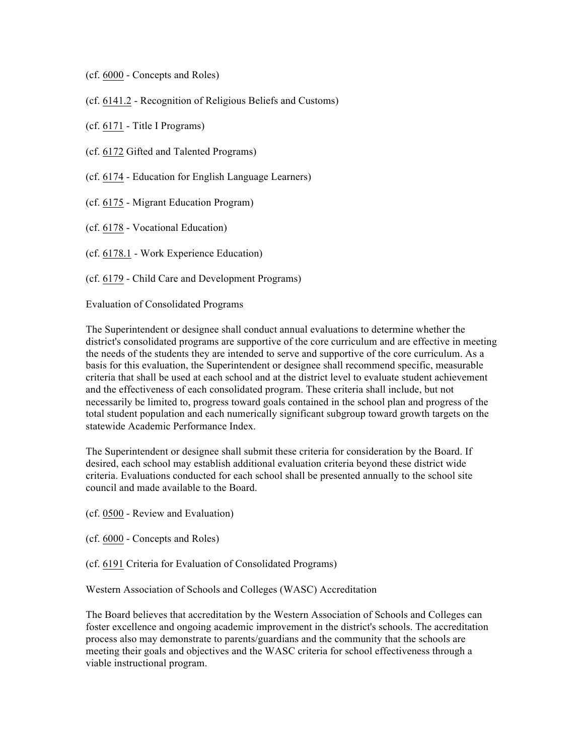- (cf. 6000 Concepts and Roles)
- (cf. 6141.2 Recognition of Religious Beliefs and Customs)
- (cf. 6171 Title I Programs)
- (cf. 6172 Gifted and Talented Programs)
- (cf. 6174 Education for English Language Learners)
- (cf. 6175 Migrant Education Program)
- (cf. 6178 Vocational Education)
- (cf. 6178.1 Work Experience Education)
- (cf. 6179 Child Care and Development Programs)

Evaluation of Consolidated Programs

The Superintendent or designee shall conduct annual evaluations to determine whether the district's consolidated programs are supportive of the core curriculum and are effective in meeting the needs of the students they are intended to serve and supportive of the core curriculum. As a basis for this evaluation, the Superintendent or designee shall recommend specific, measurable criteria that shall be used at each school and at the district level to evaluate student achievement and the effectiveness of each consolidated program. These criteria shall include, but not necessarily be limited to, progress toward goals contained in the school plan and progress of the total student population and each numerically significant subgroup toward growth targets on the statewide Academic Performance Index.

The Superintendent or designee shall submit these criteria for consideration by the Board. If desired, each school may establish additional evaluation criteria beyond these district wide criteria. Evaluations conducted for each school shall be presented annually to the school site council and made available to the Board.

- (cf. 0500 Review and Evaluation)
- (cf. 6000 Concepts and Roles)
- (cf. 6191 Criteria for Evaluation of Consolidated Programs)

Western Association of Schools and Colleges (WASC) Accreditation

The Board believes that accreditation by the Western Association of Schools and Colleges can foster excellence and ongoing academic improvement in the district's schools. The accreditation process also may demonstrate to parents/guardians and the community that the schools are meeting their goals and objectives and the WASC criteria for school effectiveness through a viable instructional program.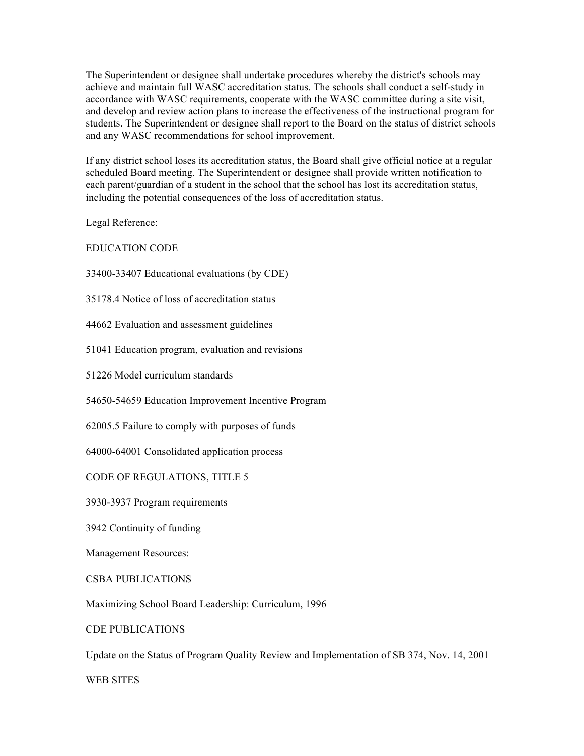The Superintendent or designee shall undertake procedures whereby the district's schools may achieve and maintain full WASC accreditation status. The schools shall conduct a self-study in accordance with WASC requirements, cooperate with the WASC committee during a site visit, and develop and review action plans to increase the effectiveness of the instructional program for students. The Superintendent or designee shall report to the Board on the status of district schools and any WASC recommendations for school improvement.

If any district school loses its accreditation status, the Board shall give official notice at a regular scheduled Board meeting. The Superintendent or designee shall provide written notification to each parent/guardian of a student in the school that the school has lost its accreditation status, including the potential consequences of the loss of accreditation status.

Legal Reference:

EDUCATION CODE

33400-33407 Educational evaluations (by CDE)

35178.4 Notice of loss of accreditation status

44662 Evaluation and assessment guidelines

51041 Education program, evaluation and revisions

51226 Model curriculum standards

54650-54659 Education Improvement Incentive Program

62005.5 Failure to comply with purposes of funds

64000-64001 Consolidated application process

CODE OF REGULATIONS, TITLE 5

3930-3937 Program requirements

3942 Continuity of funding

Management Resources:

CSBA PUBLICATIONS

Maximizing School Board Leadership: Curriculum, 1996

CDE PUBLICATIONS

Update on the Status of Program Quality Review and Implementation of SB 374, Nov. 14, 2001

WEB SITES